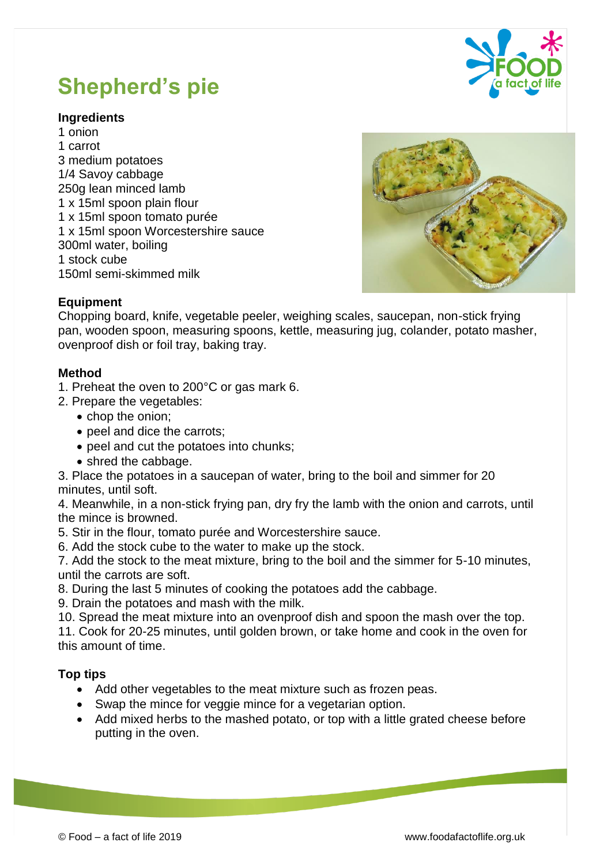

# **Shepherd's pie**

# **Ingredients**

1 onion 1 carrot 3 medium potatoes 1/4 Savoy cabbage 250g lean minced lamb 1 x 15ml spoon plain flour 1 x 15ml spoon tomato purée 1 x 15ml spoon Worcestershire sauce 300ml water, boiling 1 stock cube 150ml semi-skimmed milk



## **Equipment**

Chopping board, knife, vegetable peeler, weighing scales, saucepan, non-stick frying pan, wooden spoon, measuring spoons, kettle, measuring jug, colander, potato masher, ovenproof dish or foil tray, baking tray.

#### **Method**

- 1. Preheat the oven to 200°C or gas mark 6.
- 2. Prepare the vegetables:
	- chop the onion;
	- peel and dice the carrots;
	- peel and cut the potatoes into chunks;
	- shred the cabbage.

3. Place the potatoes in a saucepan of water, bring to the boil and simmer for 20 minutes, until soft.

4. Meanwhile, in a non-stick frying pan, dry fry the lamb with the onion and carrots, until the mince is browned.

- 5. Stir in the flour, tomato purée and Worcestershire sauce.
- 6. Add the stock cube to the water to make up the stock.

7. Add the stock to the meat mixture, bring to the boil and the simmer for 5-10 minutes, until the carrots are soft.

8. During the last 5 minutes of cooking the potatoes add the cabbage.

9. Drain the potatoes and mash with the milk.

10. Spread the meat mixture into an ovenproof dish and spoon the mash over the top.

11. Cook for 20-25 minutes, until golden brown, or take home and cook in the oven for this amount of time.

## **Top tips**

- Add other vegetables to the meat mixture such as frozen peas.
- Swap the mince for veggie mince for a vegetarian option.
- Add mixed herbs to the mashed potato, or top with a little grated cheese before putting in the oven.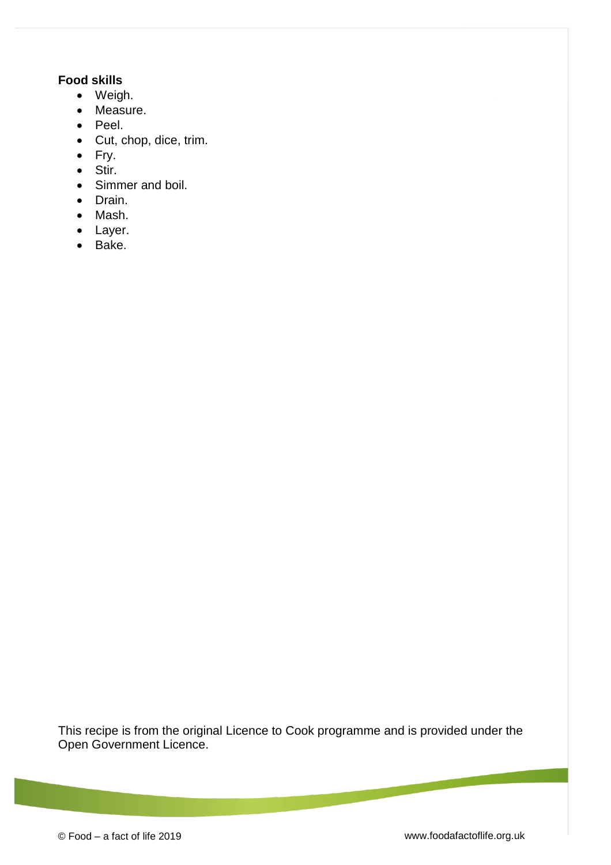# **Food skills**

- Weigh.
- Measure.
- Peel.
- Cut, chop, dice, trim.
- Fry.
- Stir.
- Simmer and boil.
- Drain.
- Mash.
- Layer.
- Bake.

This recipe is from the original Licence to Cook programme and is provided under the Open Government Licence.